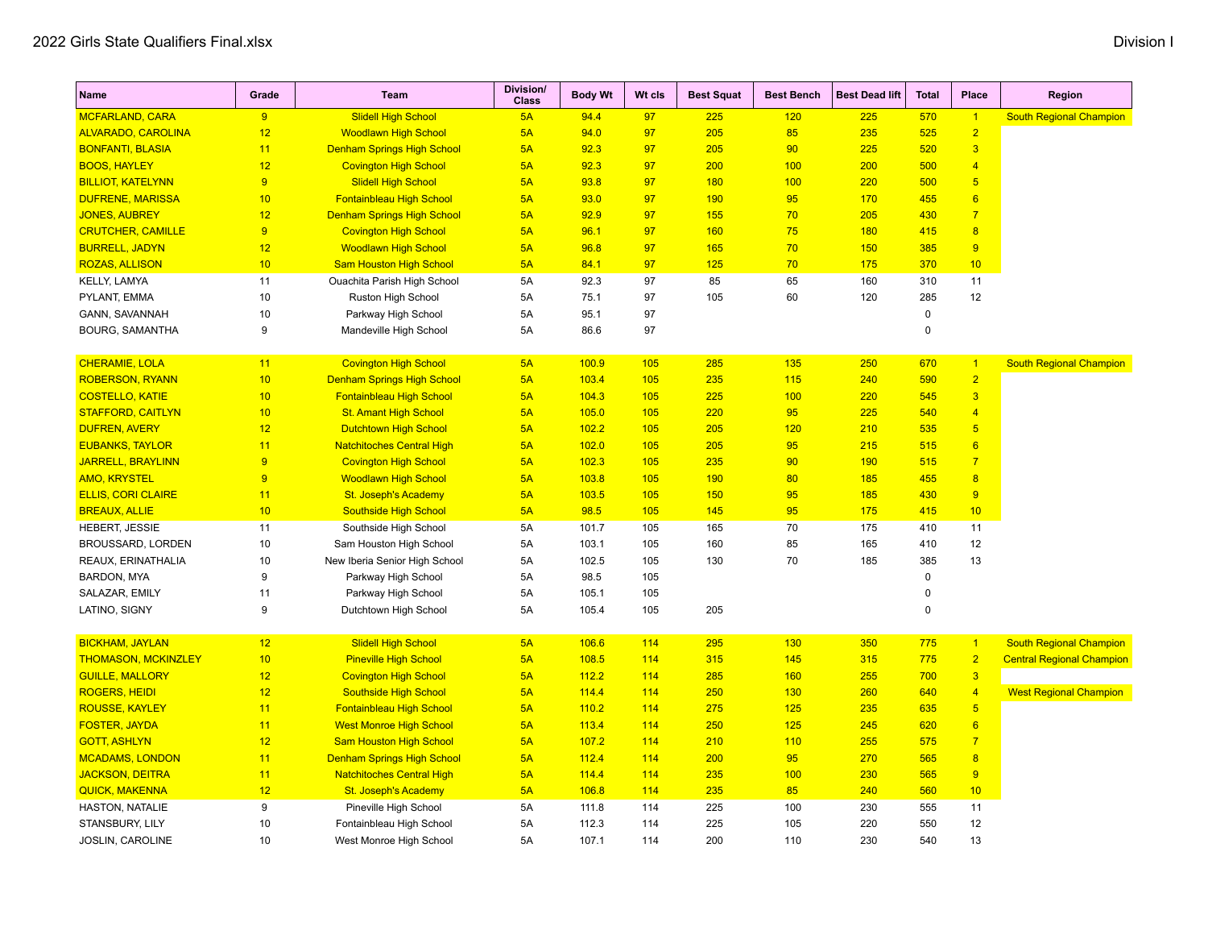| <b>Name</b>                | Grade | <b>Team</b>                       | Division/<br><b>Class</b> | <b>Body Wt</b> | Wt cls | <b>Best Squat</b> | <b>Best Bench</b> | <b>Best Dead lift</b> | <b>Total</b> | Place                   | Region                           |
|----------------------------|-------|-----------------------------------|---------------------------|----------------|--------|-------------------|-------------------|-----------------------|--------------|-------------------------|----------------------------------|
| <b>MCFARLAND, CARA</b>     | 9     | <b>Slidell High School</b>        | 5A                        | 94.4           | 97     | 225               | 120               | 225                   | 570          | $\overline{1}$          | <b>South Regional Champion</b>   |
| <b>ALVARADO, CAROLINA</b>  | 12    | <b>Woodlawn High School</b>       | 5A                        | 94.0           | 97     | 205               | 85                | 235                   | 525          | $\overline{2}$          |                                  |
| <b>BONFANTI, BLASIA</b>    | 11    | <b>Denham Springs High School</b> | 5A                        | 92.3           | 97     | 205               | 90                | 225                   | 520          | $\overline{3}$          |                                  |
| <b>BOOS, HAYLEY</b>        | 12    | <b>Covington High School</b>      | 5A                        | 92.3           | 97     | 200               | 100               | 200                   | 500          | $\overline{4}$          |                                  |
| <b>BILLIOT, KATELYNN</b>   | 9     | <b>Slidell High School</b>        | 5A                        | 93.8           | 97     | 180               | 100               | 220                   | 500          | $\overline{5}$          |                                  |
| <b>DUFRENE, MARISSA</b>    | 10    | <b>Fontainbleau High School</b>   | 5A                        | 93.0           | 97     | 190               | 95                | 170                   | 455          | $6\phantom{a}$          |                                  |
| <b>JONES, AUBREY</b>       | 12    | <b>Denham Springs High School</b> | 5A                        | 92.9           | 97     | 155               | 70                | 205                   | 430          | $\overline{7}$          |                                  |
| <b>CRUTCHER, CAMILLE</b>   | 9     | <b>Covington High School</b>      | 5A                        | 96.1           | 97     | 160               | 75                | 180                   | 415          | 8                       |                                  |
| <b>BURRELL, JADYN</b>      | 12    | <b>Woodlawn High School</b>       | 5A                        | 96.8           | 97     | 165               | 70                | 150                   | 385          | 9                       |                                  |
| <b>ROZAS, ALLISON</b>      | 10    | <b>Sam Houston High School</b>    | 5A                        | 84.1           | 97     | 125               | 70                | 175                   | 370          | 10                      |                                  |
| KELLY, LAMYA               | 11    | Ouachita Parish High School       | 5A                        | 92.3           | 97     | 85                | 65                | 160                   | 310          | 11                      |                                  |
| PYLANT, EMMA               | 10    | Ruston High School                | 5A                        | 75.1           | 97     | 105               | 60                | 120                   | 285          | 12                      |                                  |
| GANN, SAVANNAH             | 10    | Parkway High School               | 5A                        | 95.1           | 97     |                   |                   |                       | $\pmb{0}$    |                         |                                  |
| <b>BOURG, SAMANTHA</b>     | 9     | Mandeville High School            | 5A                        | 86.6           | 97     |                   |                   |                       | $\mathbf 0$  |                         |                                  |
| <b>CHERAMIE, LOLA</b>      | 11    | <b>Covington High School</b>      | 5A                        | 100.9          | 105    | 285               | 135               | 250                   | 670          | $\vert$                 | <b>South Regional Champion</b>   |
| <b>ROBERSON, RYANN</b>     | 10    | <b>Denham Springs High School</b> | 5A                        | 103.4          | 105    | 235               | 115               | 240                   | 590          | $\overline{2}$          |                                  |
| <b>COSTELLO, KATIE</b>     | 10    | <b>Fontainbleau High School</b>   | 5A                        | 104.3          | 105    | 225               | 100               | 220                   | 545          | $\overline{3}$          |                                  |
| <b>STAFFORD, CAITLYN</b>   | 10    | <b>St. Amant High School</b>      | 5A                        | 105.0          | 105    | 220               | 95                | 225                   | 540          | $\overline{4}$          |                                  |
| <b>DUFREN, AVERY</b>       | 12    | <b>Dutchtown High School</b>      | 5A                        | 102.2          | 105    | 205               | 120               | 210                   | 535          | 5                       |                                  |
| <b>EUBANKS, TAYLOR</b>     | 11    | <b>Natchitoches Central High</b>  | 5A                        | 102.0          | 105    | 205               | 95                | 215                   | 515          | $6\phantom{a}$          |                                  |
| <b>JARRELL, BRAYLINN</b>   | 9     | <b>Covington High School</b>      | 5A                        | 102.3          | 105    | 235               | 90                | 190                   | 515          | $\overline{7}$          |                                  |
| <b>AMO, KRYSTEL</b>        | 9     | <b>Woodlawn High School</b>       | 5A                        | 103.8          | 105    | 190               | 80                | 185                   | 455          | $\overline{\mathbf{8}}$ |                                  |
| <b>ELLIS, CORI CLAIRE</b>  | 11    | <b>St. Joseph's Academy</b>       | 5A                        | 103.5          | 105    | 150               | 95                | 185                   | 430          | 9                       |                                  |
| <b>BREAUX, ALLIE</b>       | 10    | Southside High School             | 5A                        | 98.5           | 105    | 145               | 95                | 175                   | 415          | 10                      |                                  |
| HEBERT, JESSIE             | 11    | Southside High School             | 5A                        | 101.7          | 105    | 165               | 70                | 175                   | 410          | 11                      |                                  |
| <b>BROUSSARD, LORDEN</b>   | 10    | Sam Houston High School           | 5A                        | 103.1          | 105    | 160               | 85                | 165                   | 410          | 12                      |                                  |
| REAUX, ERINATHALIA         | 10    | New Iberia Senior High School     | 5A                        | 102.5          | 105    | 130               | 70                | 185                   | 385          | 13                      |                                  |
| <b>BARDON, MYA</b>         | 9     | Parkway High School               | 5A                        | 98.5           | 105    |                   |                   |                       | $\pmb{0}$    |                         |                                  |
| SALAZAR, EMILY             | 11    | Parkway High School               | 5A                        | 105.1          | 105    |                   |                   |                       | $\mathbf 0$  |                         |                                  |
| LATINO, SIGNY              | 9     | Dutchtown High School             | 5A                        | 105.4          | 105    | 205               |                   |                       | $\mathbf 0$  |                         |                                  |
| <b>BICKHAM, JAYLAN</b>     | 12    | <b>Slidell High School</b>        | 5A                        | 106.6          | 114    | 295               | 130               | 350                   | 775          | $\vert$                 | <b>South Regional Champion</b>   |
| <b>THOMASON, MCKINZLEY</b> | 10    | <b>Pineville High School</b>      | 5A                        | 108.5          | 114    | 315               | 145               | 315                   | 775          | $\overline{2}$          | <b>Central Regional Champion</b> |
| <b>GUILLE, MALLORY</b>     | 12    | <b>Covington High School</b>      | 5A                        | 112.2          | 114    | 285               | 160               | 255                   | 700          | $\overline{\mathbf{3}}$ |                                  |
| <b>ROGERS, HEIDI</b>       | 12    | <b>Southside High School</b>      | 5A                        | 114.4          | 114    | 250               | 130               | 260                   | 640          | $\overline{4}$          | <b>West Regional Champion</b>    |
| <b>ROUSSE, KAYLEY</b>      | 11    | Fontainbleau High School          | 5A                        | 110.2          | 114    | 275               | 125               | 235                   | 635          | $\overline{5}$          |                                  |
| <b>FOSTER, JAYDA</b>       | 11    | <b>West Monroe High School</b>    | 5A                        | 113.4          | 114    | 250               | 125               | 245                   | 620          | $6\phantom{a}$          |                                  |
| <b>GOTT, ASHLYN</b>        | 12    | <b>Sam Houston High School</b>    | 5A                        | 107.2          | 114    | 210               | 110               | 255                   | 575          | $\overline{7}$          |                                  |
| <b>MCADAMS, LONDON</b>     | 11    | <b>Denham Springs High School</b> | 5A                        | 112.4          | 114    | 200               | 95                | 270                   | 565          | $\overline{8}$          |                                  |
| <b>JACKSON, DEITRA</b>     | 11    | <b>Natchitoches Central High</b>  | 5A                        | 114.4          | 114    | 235               | 100               | 230                   | 565          | 9                       |                                  |
| <b>QUICK, MAKENNA</b>      | 12    | <b>St. Joseph's Academy</b>       | 5A                        | 106.8          | 114    | 235               | 85                | 240                   | 560          | 10                      |                                  |
| HASTON, NATALIE            | 9     | Pineville High School             | 5A                        | 111.8          | 114    | 225               | 100               | 230                   | 555          | 11                      |                                  |
| STANSBURY, LILY            | 10    | Fontainbleau High School          | 5A                        | 112.3          | 114    | 225               | 105               | 220                   | 550          | 12                      |                                  |
| JOSLIN, CAROLINE           | 10    | West Monroe High School           | 5A                        | 107.1          | 114    | 200               | 110               | 230                   | 540          | 13                      |                                  |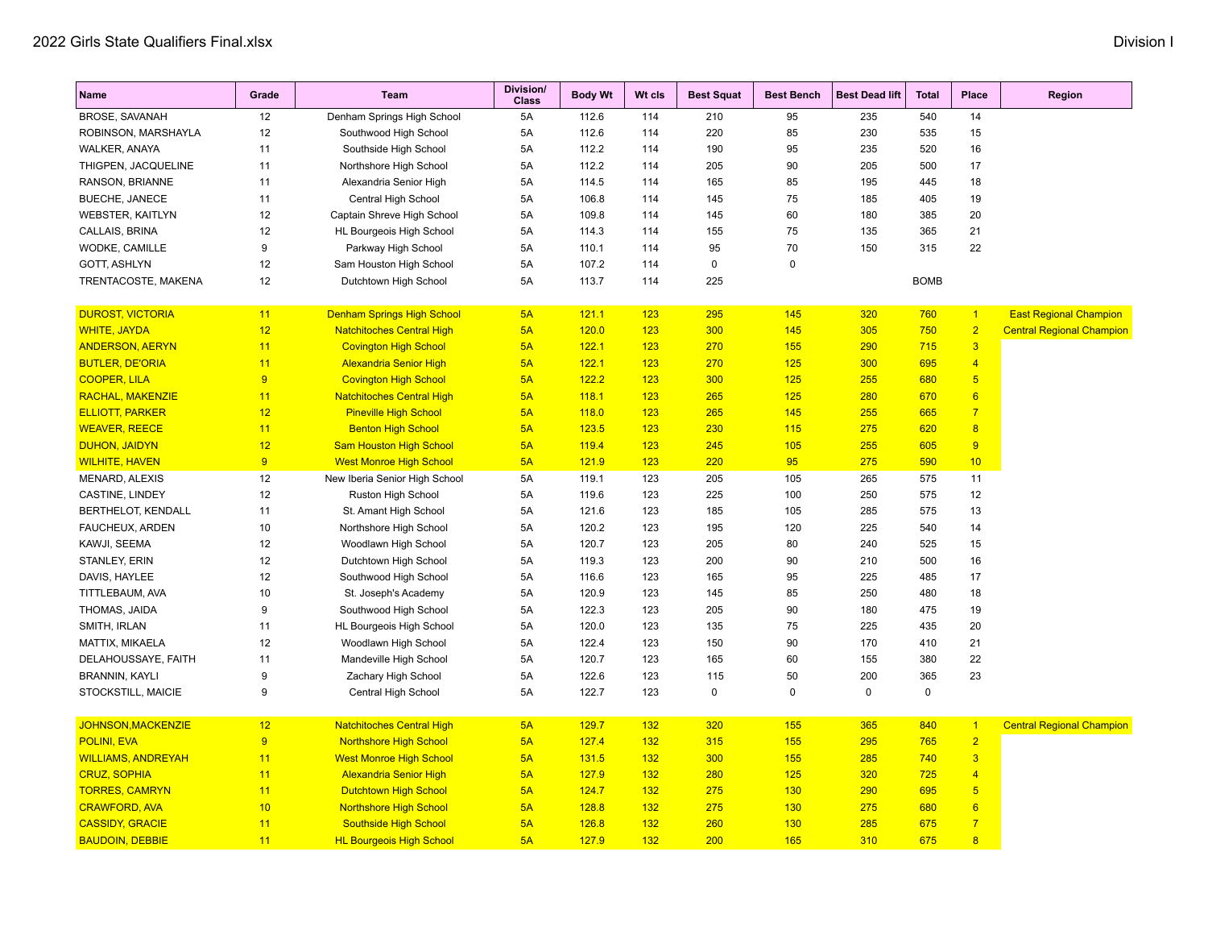| Name                                          | Grade           | <b>Team</b>                                                      | Division/<br><b>Class</b> | <b>Body Wt</b> | Wt cls     | <b>Best Squat</b> | <b>Best Bench</b> | <b>Best Dead lift</b> | <b>Total</b> | Place                   | <b>Region</b>                    |
|-----------------------------------------------|-----------------|------------------------------------------------------------------|---------------------------|----------------|------------|-------------------|-------------------|-----------------------|--------------|-------------------------|----------------------------------|
| <b>BROSE, SAVANAH</b>                         | 12              | Denham Springs High School                                       | 5A                        | 112.6          | 114        | 210               | 95                | 235                   | 540          | 14                      |                                  |
| ROBINSON, MARSHAYLA                           | 12              | Southwood High School                                            | 5A                        | 112.6          | 114        | 220               | 85                | 230                   | 535          | 15                      |                                  |
| WALKER, ANAYA                                 | 11              | Southside High School                                            | 5A                        | 112.2          | 114        | 190               | 95                | 235                   | 520          | 16                      |                                  |
| THIGPEN, JACQUELINE                           | 11              | Northshore High School                                           | 5A                        | 112.2          | 114        | 205               | 90                | 205                   | 500          | 17                      |                                  |
| RANSON, BRIANNE                               | 11              | Alexandria Senior High                                           | 5A                        | 114.5          | 114        | 165               | 85                | 195                   | 445          | 18                      |                                  |
| <b>BUECHE, JANECE</b>                         | 11              | Central High School                                              | 5A                        | 106.8          | 114        | 145               | 75                | 185                   | 405          | 19                      |                                  |
| <b>WEBSTER, KAITLYN</b>                       | 12              | Captain Shreve High School                                       | 5A                        | 109.8          | 114        | 145               | 60                | 180                   | 385          | 20                      |                                  |
| CALLAIS, BRINA                                | 12              | HL Bourgeois High School                                         | 5A                        | 114.3          | 114        | 155               | 75                | 135                   | 365          | 21                      |                                  |
| WODKE, CAMILLE                                | 9               | Parkway High School                                              | 5A                        | 110.1          | 114        | 95                | 70                | 150                   | 315          | 22                      |                                  |
| <b>GOTT, ASHLYN</b>                           | 12              | Sam Houston High School                                          | 5A                        | 107.2          | 114        | 0                 | $\pmb{0}$         |                       |              |                         |                                  |
| TRENTACOSTE, MAKENA                           | 12              | Dutchtown High School                                            | 5A                        | 113.7          | 114        | 225               |                   |                       | <b>BOMB</b>  |                         |                                  |
| <b>DUROST, VICTORIA</b>                       | 11              | <b>Denham Springs High School</b>                                | 5A                        |                |            | 295               | 145               |                       | 760          | $\overline{1}$          | <b>East Regional Champion</b>    |
|                                               |                 |                                                                  |                           | 121.1          | 123        |                   |                   | 320                   |              | $\overline{2}$          |                                  |
| <b>WHITE, JAYDA</b>                           | 12<br>11        | <b>Natchitoches Central High</b>                                 | 5A<br>5A                  | 120.0          | 123        | 300<br>270        | 145               | 305<br>290            | 750          | $\overline{\mathbf{3}}$ | <b>Central Regional Champion</b> |
| <b>ANDERSON, AERYN</b>                        |                 | <b>Covington High School</b>                                     |                           | 122.1          | 123        |                   | 155               |                       | 715          | $\overline{4}$          |                                  |
| <b>BUTLER, DE'ORIA</b><br><b>COOPER, LILA</b> | 11<br>9         | <b>Alexandria Senior High</b>                                    | 5A<br>5A                  | 122.1<br>122.2 | 123        | 270<br>300        | 125               | 300<br>255            | 695<br>680   | $5\overline{)}$         |                                  |
| <b>RACHAL, MAKENZIE</b>                       | 11              | <b>Covington High School</b><br><b>Natchitoches Central High</b> | 5A                        | 118.1          | 123<br>123 | 265               | 125<br>125        | 280                   | 670          | 6                       |                                  |
| <b>ELLIOTT, PARKER</b>                        | 12              |                                                                  | 5A                        | 118.0          | 123        | 265               | 145               | 255                   | 665          | $\overline{7}$          |                                  |
| <b>WEAVER, REECE</b>                          | 11              | <b>Pineville High School</b>                                     | 5A                        | 123.5          | 123        | 230               | 115               | 275                   | 620          | 8                       |                                  |
|                                               |                 | <b>Benton High School</b>                                        |                           |                |            |                   |                   |                       |              |                         |                                  |
| <b>DUHON, JAIDYN</b>                          | 12<br>9         | <b>Sam Houston High School</b>                                   | 5A<br>5A                  | 119.4          | 123        | 245<br>220        | 105               | 255                   | 605          | 9<br>10                 |                                  |
| <b>WILHITE, HAVEN</b>                         |                 | <b>West Monroe High School</b>                                   |                           | 121.9          | 123        |                   | 95                | 275                   | 590          |                         |                                  |
| <b>MENARD, ALEXIS</b>                         | 12              | New Iberia Senior High School                                    | 5A                        | 119.1          | 123        | 205               | 105               | 265                   | 575          | 11                      |                                  |
| CASTINE, LINDEY                               | 12              | Ruston High School                                               | 5A                        | 119.6          | 123        | 225               | 100               | 250                   | 575          | 12                      |                                  |
| BERTHELOT, KENDALL                            | 11              | St. Amant High School                                            | 5A                        | 121.6          | 123        | 185               | 105               | 285                   | 575          | 13                      |                                  |
| FAUCHEUX, ARDEN                               | 10              | Northshore High School                                           | 5A                        | 120.2          | 123        | 195               | 120               | 225                   | 540          | 14                      |                                  |
| KAWJI, SEEMA                                  | 12              | Woodlawn High School                                             | 5A                        | 120.7          | 123        | 205               | 80                | 240                   | 525          | 15                      |                                  |
| STANLEY, ERIN                                 | 12              | Dutchtown High School                                            | 5A                        | 119.3          | 123        | 200               | 90                | 210                   | 500          | 16                      |                                  |
| DAVIS, HAYLEE                                 | 12              | Southwood High School                                            | 5A                        | 116.6          | 123        | 165               | 95                | 225                   | 485          | 17                      |                                  |
| TITTLEBAUM, AVA                               | 10              | St. Joseph's Academy                                             | 5A                        | 120.9          | 123        | 145               | 85                | 250                   | 480          | 18                      |                                  |
| THOMAS, JAIDA                                 | 9               | Southwood High School                                            | 5A                        | 122.3          | 123        | 205               | 90                | 180                   | 475          | 19                      |                                  |
| SMITH, IRLAN                                  | 11              | HL Bourgeois High School                                         | 5A                        | 120.0          | 123        | 135               | 75                | 225                   | 435          | 20                      |                                  |
| MATTIX, MIKAELA                               | 12              | Woodlawn High School                                             | 5A                        | 122.4          | 123        | 150               | 90                | 170                   | 410          | 21                      |                                  |
| DELAHOUSSAYE, FAITH                           | 11              | Mandeville High School                                           | 5A                        | 120.7          | 123        | 165               | 60                | 155                   | 380          | 22                      |                                  |
| <b>BRANNIN, KAYLI</b>                         | 9               | Zachary High School                                              | <b>5A</b>                 | 122.6          | 123        | 115               | 50                | 200                   | 365          | 23                      |                                  |
| STOCKSTILL, MAICIE                            | 9               | Central High School                                              | 5A                        | 122.7          | 123        | $\mathbf 0$       | $\mathbf 0$       | $\mathbf 0$           | $\mathbf 0$  |                         |                                  |
| <b>JOHNSON, MACKENZIE</b>                     | 12 <sub>2</sub> | <b>Natchitoches Central High</b>                                 | 5A                        | 129.7          | 132        | 320               | 155               | 365                   | 840          | $\sqrt{1}$              | <b>Central Regional Champion</b> |
| POLINI, EVA                                   | 9               | <b>Northshore High School</b>                                    | 5A                        | 127.4          | 132        | 315               | 155               | 295                   | 765          | $\overline{2}$          |                                  |
| <b>WILLIAMS, ANDREYAH</b>                     | 11              | <b>West Monroe High School</b>                                   | 5A                        | 131.5          | 132        | 300               | 155               | 285                   | 740          | $\overline{\mathbf{3}}$ |                                  |
| <b>CRUZ, SOPHIA</b>                           | 11              | <b>Alexandria Senior High</b>                                    | 5A                        | 127.9          | 132        | 280               | 125               | 320                   | 725          | $\overline{4}$          |                                  |
| <b>TORRES, CAMRYN</b>                         | 11              | <b>Dutchtown High School</b>                                     | 5A                        | 124.7          | 132        | 275               | 130               | 290                   | 695          | $5\phantom{.0}$         |                                  |
| <b>CRAWFORD, AVA</b>                          | 10              | <b>Northshore High School</b>                                    | 5A                        | 128.8          | 132        | 275               | 130               | 275                   | 680          | $6\overline{6}$         |                                  |
| <b>CASSIDY, GRACIE</b>                        | 11              | Southside High School                                            | 5A                        | 126.8          | 132        | 260               | 130               | 285                   | 675          | $\overline{7}$          |                                  |
| <b>BAUDOIN, DEBBIE</b>                        | 11              | <b>HL Bourgeois High School</b>                                  | 5A                        | 127.9          | 132        | 200               | 165               | 310                   | 675          | $\overline{8}$          |                                  |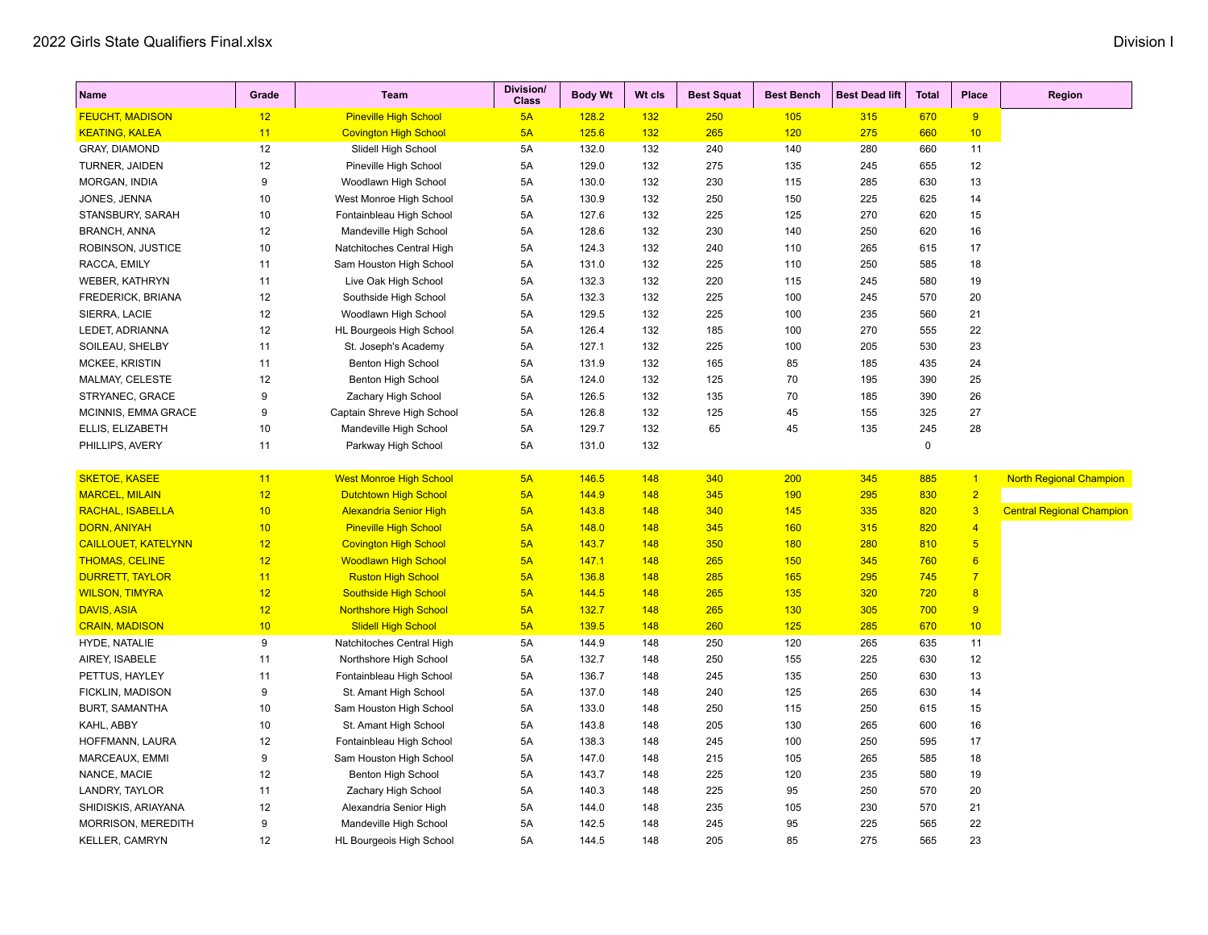| Name                       | Grade | <b>Team</b>                    | <b>Division/</b><br><b>Class</b> | <b>Body Wt</b> | Wt cls | <b>Best Squat</b> | <b>Best Bench</b> | <b>Best Dead lift</b> | <b>Total</b> | Place           | Region                           |
|----------------------------|-------|--------------------------------|----------------------------------|----------------|--------|-------------------|-------------------|-----------------------|--------------|-----------------|----------------------------------|
| <b>FEUCHT, MADISON</b>     | 12    | <b>Pineville High School</b>   | 5A                               | 128.2          | 132    | <b>250</b>        | 105               | 315                   | 670          | 9               |                                  |
| <b>KEATING, KALEA</b>      | 11    | <b>Covington High School</b>   | 5A                               | 125.6          | 132    | 265               | 120               | 275                   | 660          | 10              |                                  |
| <b>GRAY, DIAMOND</b>       | 12    | Slidell High School            | 5A                               | 132.0          | 132    | 240               | 140               | 280                   | 660          | 11              |                                  |
| TURNER, JAIDEN             | 12    | Pineville High School          | 5A                               | 129.0          | 132    | 275               | 135               | 245                   | 655          | 12              |                                  |
| MORGAN, INDIA              | 9     | Woodlawn High School           | 5A                               | 130.0          | 132    | 230               | 115               | 285                   | 630          | 13              |                                  |
| JONES, JENNA               | 10    | West Monroe High School        | 5A                               | 130.9          | 132    | 250               | 150               | 225                   | 625          | 14              |                                  |
| STANSBURY, SARAH           | 10    | Fontainbleau High School       | 5A                               | 127.6          | 132    | 225               | 125               | 270                   | 620          | 15              |                                  |
| <b>BRANCH, ANNA</b>        | 12    | Mandeville High School         | 5A                               | 128.6          | 132    | 230               | 140               | 250                   | 620          | 16              |                                  |
| ROBINSON, JUSTICE          | 10    | Natchitoches Central High      | 5A                               | 124.3          | 132    | 240               | 110               | 265                   | 615          | 17              |                                  |
| RACCA, EMILY               | 11    | Sam Houston High School        | 5A                               | 131.0          | 132    | 225               | 110               | 250                   | 585          | 18              |                                  |
| <b>WEBER, KATHRYN</b>      | 11    | Live Oak High School           | 5A                               | 132.3          | 132    | 220               | 115               | 245                   | 580          | 19              |                                  |
| FREDERICK, BRIANA          | 12    | Southside High School          | 5A                               | 132.3          | 132    | 225               | 100               | 245                   | 570          | 20              |                                  |
| SIERRA, LACIE              | 12    | Woodlawn High School           | 5A                               | 129.5          | 132    | 225               | 100               | 235                   | 560          | 21              |                                  |
| LEDET, ADRIANNA            | 12    | HL Bourgeois High School       | 5A                               | 126.4          | 132    | 185               | 100               | 270                   | 555          | 22              |                                  |
| SOILEAU, SHELBY            | 11    | St. Joseph's Academy           | 5A                               | 127.1          | 132    | 225               | 100               | 205                   | 530          | 23              |                                  |
| MCKEE, KRISTIN             | 11    | Benton High School             | 5A                               | 131.9          | 132    | 165               | 85                | 185                   | 435          | 24              |                                  |
| MALMAY, CELESTE            | 12    | Benton High School             | 5A                               | 124.0          | 132    | 125               | 70                | 195                   | 390          | 25              |                                  |
| STRYANEC, GRACE            | 9     | Zachary High School            | 5A                               | 126.5          | 132    | 135               | 70                | 185                   | 390          | 26              |                                  |
| MCINNIS, EMMA GRACE        | 9     | Captain Shreve High School     | 5A                               | 126.8          | 132    | 125               | 45                | 155                   | 325          | 27              |                                  |
| ELLIS, ELIZABETH           | 10    | Mandeville High School         | 5A                               | 129.7          | 132    | 65                | 45                | 135                   | 245          | 28              |                                  |
| PHILLIPS, AVERY            | 11    | Parkway High School            | 5A                               | 131.0          | 132    |                   |                   |                       | $\mathbf 0$  |                 |                                  |
| <b>SKETOE, KASEE</b>       | 11    | <b>West Monroe High School</b> | 5A                               | 146.5          | 148    | 340               | 200               | 345                   | 885          | $\vert$ 1       | <b>North Regional Champion</b>   |
| <b>MARCEL, MILAIN</b>      | 12    | <b>Dutchtown High School</b>   | 5A                               | 144.9          | 148    | 345               | 190               | 295                   | 830          | $\overline{2}$  |                                  |
| <b>RACHAL, ISABELLA</b>    | 10    | <b>Alexandria Senior High</b>  | 5A                               | 143.8          | 148    | 340               | 145               | 335                   | 820          | $\overline{3}$  | <b>Central Regional Champion</b> |
| <b>DORN, ANIYAH</b>        | 10    | <b>Pineville High School</b>   | 5A                               | 148.0          | 148    | 345               | 160               | 315                   | 820          | $\overline{4}$  |                                  |
| <b>CAILLOUET, KATELYNN</b> | 12    | <b>Covington High School</b>   | 5A                               | 143.7          | 148    | 350               | 180               | 280                   | 810          | $\overline{5}$  |                                  |
| <b>THOMAS, CELINE</b>      | 12    | <b>Woodlawn High School</b>    | 5A                               | 147.1          | 148    | 265               | 150               | 345                   | 760          | $6\overline{6}$ |                                  |
| <b>DURRETT, TAYLOR</b>     | 11    | <b>Ruston High School</b>      | 5A                               | 136.8          | 148    | 285               | 165               | 295                   | 745          | $\overline{7}$  |                                  |
| <b>WILSON, TIMYRA</b>      | 12    | <b>Southside High School</b>   | 5A                               | 144.5          | 148    | 265               | 135               | 320                   | 720          | $\overline{8}$  |                                  |
| <b>DAVIS, ASIA</b>         | 12    | <b>Northshore High School</b>  | 5A                               | 132.7          | 148    | 265               | 130               | 305                   | 700          | 9               |                                  |
| <b>CRAIN, MADISON</b>      | 10    | <b>Slidell High School</b>     | 5A                               | 139.5          | 148    | 260               | 125               | 285                   | 670          | 10              |                                  |
| HYDE, NATALIE              | 9     | Natchitoches Central High      | 5A                               | 144.9          | 148    | 250               | 120               | 265                   | 635          | 11              |                                  |
| AIREY, ISABELE             | 11    | Northshore High School         | 5A                               | 132.7          | 148    | 250               | 155               | 225                   | 630          | 12              |                                  |
| PETTUS, HAYLEY             | 11    | Fontainbleau High School       | 5A                               | 136.7          | 148    | 245               | 135               | 250                   | 630          | 13              |                                  |
| FICKLIN, MADISON           | 9     | St. Amant High School          | 5A                               | 137.0          | 148    | 240               | 125               | 265                   | 630          | 14              |                                  |
| <b>BURT, SAMANTHA</b>      | 10    | Sam Houston High School        | 5A                               | 133.0          | 148    | 250               | 115               | 250                   | 615          | 15              |                                  |
| KAHL, ABBY                 | 10    | St. Amant High School          | 5A                               | 143.8          | 148    | 205               | 130               | 265                   | 600          | 16              |                                  |
| HOFFMANN, LAURA            | 12    | Fontainbleau High School       | 5A                               | 138.3          | 148    | 245               | 100               | 250                   | 595          | 17              |                                  |
| MARCEAUX, EMMI             | 9     | Sam Houston High School        | 5A                               | 147.0          | 148    | 215               | 105               | 265                   | 585          | 18              |                                  |
| NANCE, MACIE               | 12    | Benton High School             | 5A                               | 143.7          | 148    | 225               | 120               | 235                   | 580          | 19              |                                  |
| LANDRY, TAYLOR             | 11    | Zachary High School            | 5A                               | 140.3          | 148    | 225               | 95                | 250                   | 570          | 20              |                                  |
| SHIDISKIS, ARIAYANA        | 12    | Alexandria Senior High         | 5A                               | 144.0          | 148    | 235               | 105               | 230                   | 570          | 21              |                                  |
| MORRISON, MEREDITH         | 9     | Mandeville High School         | 5A                               | 142.5          | 148    | 245               | 95                | 225                   | 565          | 22              |                                  |
| KELLER, CAMRYN             | 12    | HL Bourgeois High School       | 5A                               | 144.5          | 148    | 205               | 85                | 275                   | 565          | 23              |                                  |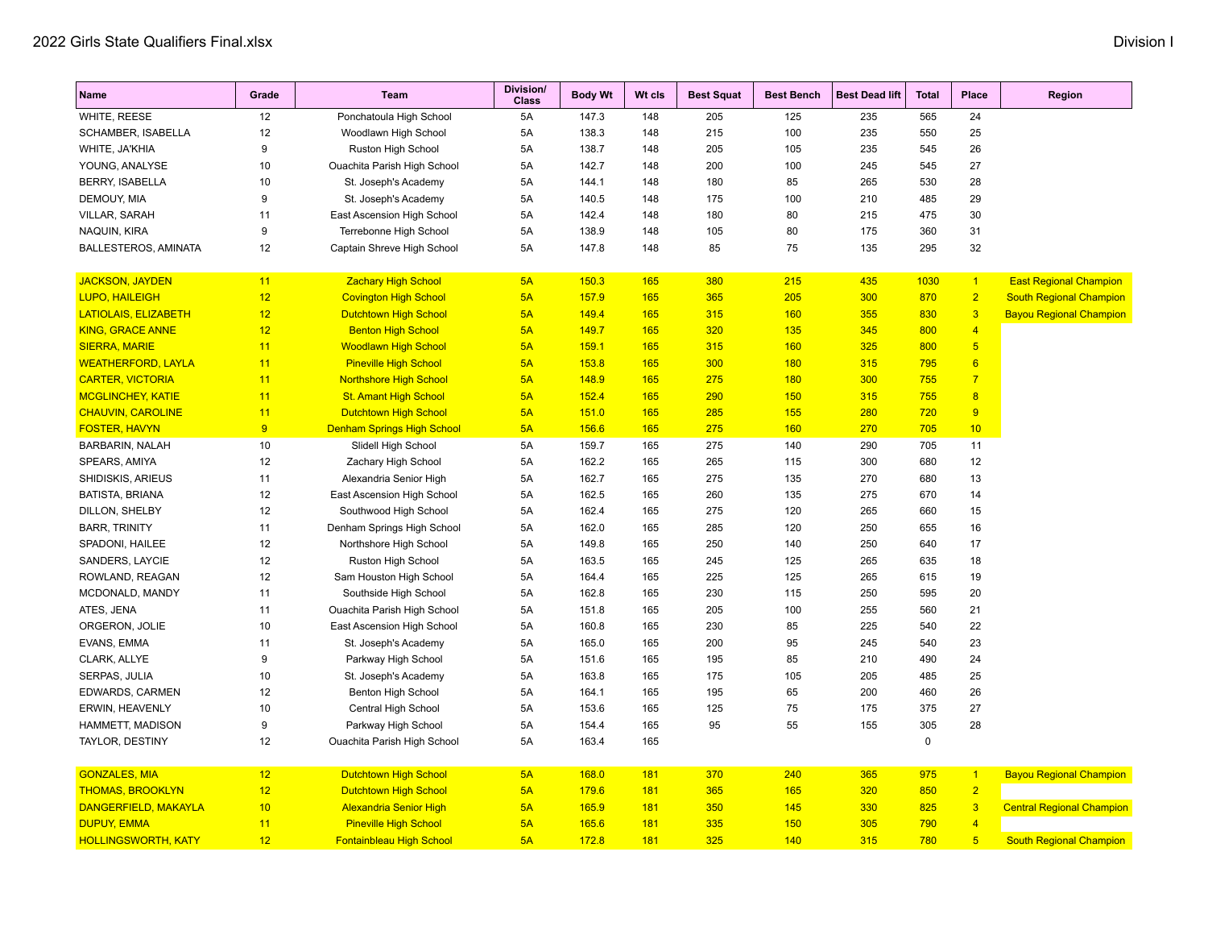| <b>Name</b>                | Grade | <b>Team</b>                       | Division/<br><b>Class</b> | <b>Body Wt</b> | Wt cls | <b>Best Squat</b> | <b>Best Bench</b> | <b>Best Dead lift</b> | <b>Total</b> | Place                   | Region                           |
|----------------------------|-------|-----------------------------------|---------------------------|----------------|--------|-------------------|-------------------|-----------------------|--------------|-------------------------|----------------------------------|
| WHITE, REESE               | 12    | Ponchatoula High School           | 5A                        | 147.3          | 148    | 205               | 125               | 235                   | 565          | 24                      |                                  |
| SCHAMBER, ISABELLA         | 12    | Woodlawn High School              | 5A                        | 138.3          | 148    | 215               | 100               | 235                   | 550          | 25                      |                                  |
| WHITE, JA'KHIA             | 9     | Ruston High School                | 5A                        | 138.7          | 148    | 205               | 105               | 235                   | 545          | 26                      |                                  |
| YOUNG, ANALYSE             | 10    | Ouachita Parish High School       | 5A                        | 142.7          | 148    | 200               | 100               | 245                   | 545          | 27                      |                                  |
| <b>BERRY, ISABELLA</b>     | 10    | St. Joseph's Academy              | 5A                        | 144.1          | 148    | 180               | 85                | 265                   | 530          | 28                      |                                  |
| DEMOUY, MIA                | 9     | St. Joseph's Academy              | 5A                        | 140.5          | 148    | 175               | 100               | 210                   | 485          | 29                      |                                  |
| VILLAR, SARAH              | 11    | East Ascension High School        | 5A                        | 142.4          | 148    | 180               | 80                | 215                   | 475          | 30                      |                                  |
| NAQUIN, KIRA               | 9     | Terrebonne High School            | 5A                        | 138.9          | 148    | 105               | 80                | 175                   | 360          | 31                      |                                  |
| BALLESTEROS, AMINATA       | 12    | Captain Shreve High School        | 5A                        | 147.8          | 148    | 85                | 75                | 135                   | 295          | 32                      |                                  |
| <b>JACKSON, JAYDEN</b>     | 11    | <b>Zachary High School</b>        | 5A                        | 150.3          | 165    | 380               | 215               | 435                   | 1030         | $\vert$ 1               | <b>East Regional Champion</b>    |
| <b>LUPO, HAILEIGH</b>      | 12    | <b>Covington High School</b>      | 5A                        | 157.9          | 165    | 365               | 205               | 300                   | 870          | $\overline{2}$          | <b>South Regional Champion</b>   |
| LATIOLAIS, ELIZABETH       | 12    | <b>Dutchtown High School</b>      | 5A                        | 149.4          | 165    | 315               | 160               | 355                   | 830          | $\overline{\mathbf{3}}$ | <b>Bayou Regional Champion</b>   |
| <b>KING, GRACE ANNE</b>    | 12    | <b>Benton High School</b>         | 5A                        | 149.7          | 165    | 320               | 135               | 345                   | 800          | $\overline{4}$          |                                  |
| <b>SIERRA, MARIE</b>       | 11    | <b>Woodlawn High School</b>       | 5A                        | 159.1          | 165    | 315               | 160               | 325                   | 800          | $5\overline{)}$         |                                  |
| <b>WEATHERFORD, LAYLA</b>  | 11    | <b>Pineville High School</b>      | 5A                        | 153.8          | 165    | 300               | 180               | 315                   | 795          | 6                       |                                  |
| <b>CARTER, VICTORIA</b>    | 11    | <b>Northshore High School</b>     | 5A                        | 148.9          | 165    | 275               | 180               | 300                   | 755          | $\overline{7}$          |                                  |
| <b>MCGLINCHEY, KATIE</b>   | 11    | <b>St. Amant High School</b>      | 5A                        | 152.4          | 165    | 290               | 150               | 315                   | 755          | 8                       |                                  |
| <b>CHAUVIN, CAROLINE</b>   | 11    | <b>Dutchtown High School</b>      | 5A                        | 151.0          | 165    | 285               | 155               | 280                   | 720          | 9                       |                                  |
| <b>FOSTER, HAVYN</b>       | 9     | <b>Denham Springs High School</b> | 5A                        | 156.6          | 165    | 275               | 160               | 270                   | 705          | 10                      |                                  |
| <b>BARBARIN, NALAH</b>     | 10    | Slidell High School               | 5A                        | 159.7          | 165    | 275               | 140               | 290                   | 705          | 11                      |                                  |
| SPEARS, AMIYA              | 12    | Zachary High School               | 5A                        | 162.2          | 165    | 265               | 115               | 300                   | 680          | 12                      |                                  |
| SHIDISKIS, ARIEUS          | 11    | Alexandria Senior High            | 5A                        | 162.7          | 165    | 275               | 135               | 270                   | 680          | 13                      |                                  |
| BATISTA, BRIANA            | 12    | East Ascension High School        | 5A                        | 162.5          | 165    | 260               | 135               | 275                   | 670          | 14                      |                                  |
| DILLON, SHELBY             | 12    | Southwood High School             | 5A                        | 162.4          | 165    | 275               | 120               | 265                   | 660          | 15                      |                                  |
| <b>BARR, TRINITY</b>       | 11    | Denham Springs High School        | 5A                        | 162.0          | 165    | 285               | 120               | 250                   | 655          | 16                      |                                  |
| SPADONI, HAILEE            | 12    | Northshore High School            | 5A                        | 149.8          | 165    | 250               | 140               | 250                   | 640          | 17                      |                                  |
| SANDERS, LAYCIE            | 12    | Ruston High School                | 5A                        | 163.5          | 165    | 245               | 125               | 265                   | 635          | 18                      |                                  |
| ROWLAND, REAGAN            | 12    | Sam Houston High School           | 5A                        | 164.4          | 165    | 225               | 125               | 265                   | 615          | 19                      |                                  |
| MCDONALD, MANDY            | 11    | Southside High School             | 5A                        | 162.8          | 165    | 230               | 115               | 250                   | 595          | 20                      |                                  |
| ATES, JENA                 | 11    | Ouachita Parish High School       | 5A                        | 151.8          | 165    | 205               | 100               | 255                   | 560          | 21                      |                                  |
| ORGERON, JOLIE             | 10    | East Ascension High School        | 5A                        | 160.8          | 165    | 230               | 85                | 225                   | 540          | 22                      |                                  |
| EVANS, EMMA                | 11    | St. Joseph's Academy              | 5A                        | 165.0          | 165    | 200               | 95                | 245                   | 540          | 23                      |                                  |
| CLARK, ALLYE               | 9     | Parkway High School               | 5A                        | 151.6          | 165    | 195               | 85                | 210                   | 490          | 24                      |                                  |
| SERPAS, JULIA              | 10    | St. Joseph's Academy              | 5A                        | 163.8          | 165    | 175               | 105               | 205                   | 485          | 25                      |                                  |
| EDWARDS, CARMEN            | 12    | Benton High School                | 5A                        | 164.1          | 165    | 195               | 65                | 200                   | 460          | 26                      |                                  |
| <b>ERWIN, HEAVENLY</b>     | 10    | Central High School               | 5A                        | 153.6          | 165    | 125               | 75                | 175                   | 375          | 27                      |                                  |
| HAMMETT, MADISON           | 9     | Parkway High School               | 5A                        | 154.4          | 165    | 95                | 55                | 155                   | 305          | 28                      |                                  |
| TAYLOR, DESTINY            | 12    | Ouachita Parish High School       | 5A                        | 163.4          | 165    |                   |                   |                       | $\pmb{0}$    |                         |                                  |
| <b>GONZALES, MIA</b>       | 12    | <b>Dutchtown High School</b>      | 5A                        | 168.0          | 181    | 370               | 240               | 365                   | 975          | $\overline{1}$          | <b>Bayou Regional Champion</b>   |
| <b>THOMAS, BROOKLYN</b>    | 12    | <b>Dutchtown High School</b>      | 5A                        | 179.6          | 181    | 365               | 165               | 320                   | 850          | $\overline{2}$          |                                  |
| DANGERFIELD, MAKAYLA       | 10    | <b>Alexandria Senior High</b>     | 5A                        | 165.9          | 181    | 350               | 145               | 330                   | 825          | $\overline{\mathbf{3}}$ | <b>Central Regional Champion</b> |
| <b>DUPUY, EMMA</b>         | 11    | <b>Pineville High School</b>      | 5A                        | 165.6          | 181    | 335               | 150               | 305                   | 790          | $\overline{4}$          |                                  |
| <b>HOLLINGSWORTH, KATY</b> | 12    | <b>Fontainbleau High School</b>   | 5A                        | 172.8          | 181    | 325               | 140               | 315                   | 780          | $5\overline{)}$         | <b>South Regional Champion</b>   |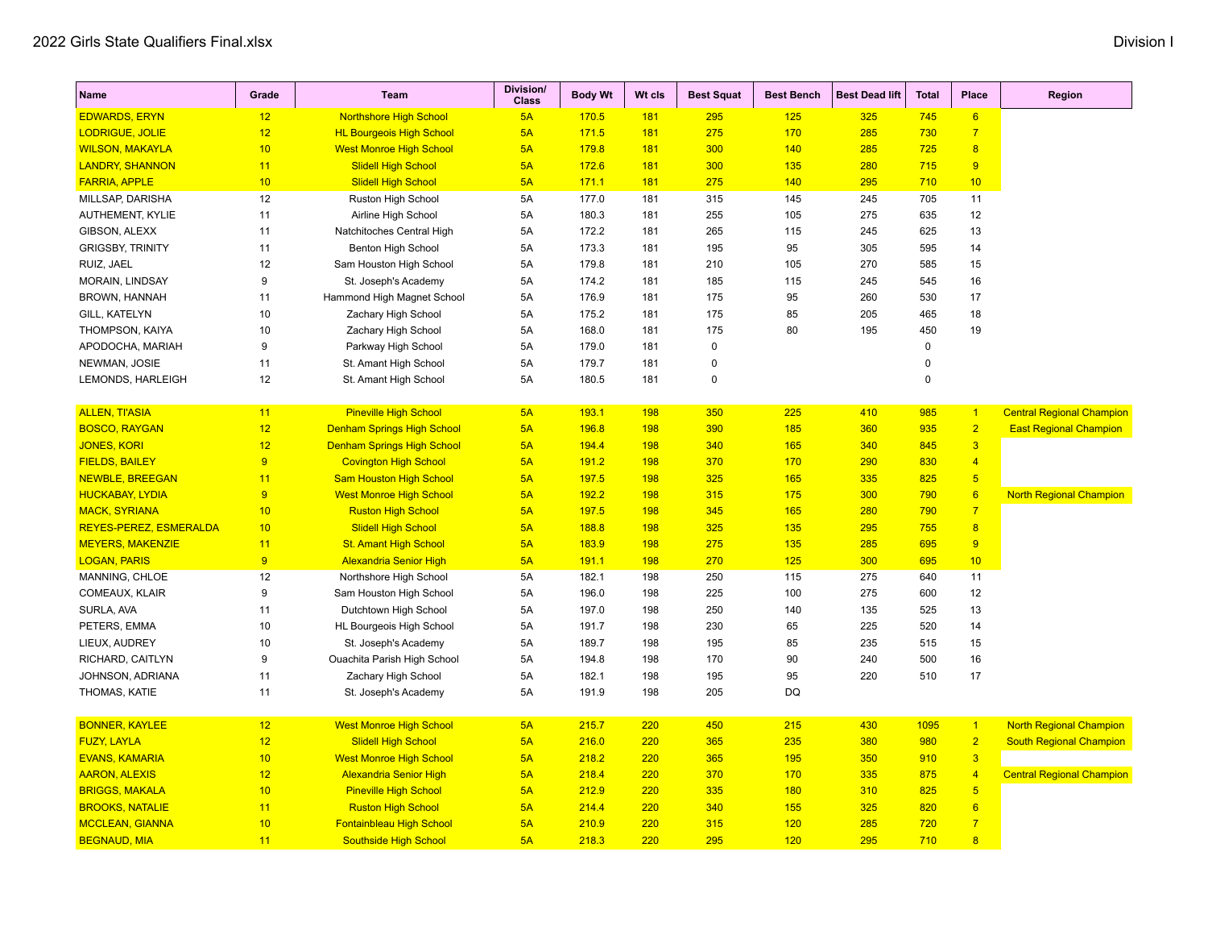| Name                    | Grade          | Team                              | <b>Division/</b><br><b>Class</b> | <b>Body Wt</b> | Wt cls     | <b>Best Squat</b> | <b>Best Bench</b> | <b>Best Dead lift</b> | <b>Total</b> | <b>Place</b>            | Region                           |
|-------------------------|----------------|-----------------------------------|----------------------------------|----------------|------------|-------------------|-------------------|-----------------------|--------------|-------------------------|----------------------------------|
| <b>EDWARDS, ERYN</b>    | 12             | <b>Northshore High School</b>     | 5A                               | 170.5          | 181        | 295               | 125               | 325                   | 745          | $6\overline{6}$         |                                  |
| LODRIGUE, JOLIE         | 12             | <b>HL Bourgeois High School</b>   | 5A                               | 171.5          | 181        | 275               | 170               | 285                   | 730          | $\overline{7}$          |                                  |
| <b>WILSON, MAKAYLA</b>  | 10             | <b>West Monroe High School</b>    | 5A                               | 179.8          | 181        | 300               | 140               | 285                   | 725          | $\overline{\mathbf{8}}$ |                                  |
| <b>LANDRY, SHANNON</b>  | 11             | <b>Slidell High School</b>        | 5A                               | 172.6          | 181        | 300               | 135               | 280                   | 715          | 9                       |                                  |
| <b>FARRIA, APPLE</b>    | 10             | <b>Slidell High School</b>        | 5A                               | 171.1          | 181        | 275               | 140               | 295                   | 710          | 10                      |                                  |
| MILLSAP, DARISHA        | 12             | Ruston High School                | 5A                               | 177.0          | 181        | 315               | 145               | 245                   | 705          | 11                      |                                  |
| AUTHEMENT, KYLIE        | 11             | Airline High School               | 5A                               | 180.3          | 181        | 255               | 105               | 275                   | 635          | 12                      |                                  |
| GIBSON, ALEXX           | 11             | Natchitoches Central High         | 5A                               | 172.2          | 181        | 265               | 115               | 245                   | 625          | 13                      |                                  |
| <b>GRIGSBY, TRINITY</b> | 11             | <b>Benton High School</b>         | 5A                               | 173.3          | 181        | 195               | 95                | 305                   | 595          | 14                      |                                  |
| RUIZ, JAEL              | 12             | Sam Houston High School           | 5A                               | 179.8          | 181        | 210               | 105               | 270                   | 585          | 15                      |                                  |
| MORAIN, LINDSAY         | 9              | St. Joseph's Academy              | 5A                               | 174.2          | 181        | 185               | 115               | 245                   | 545          | 16                      |                                  |
| <b>BROWN, HANNAH</b>    | 11             | Hammond High Magnet School        | 5A                               | 176.9          | 181        | 175               | 95                | 260                   | 530          | 17                      |                                  |
| GILL, KATELYN           | 10             | Zachary High School               | 5A                               | 175.2          | 181        | 175               | 85                | 205                   | 465          | 18                      |                                  |
| THOMPSON, KAIYA         | 10             | Zachary High School               | 5A                               | 168.0          | 181        | 175               | 80                | 195                   | 450          | 19                      |                                  |
| APODOCHA, MARIAH        | 9              | Parkway High School               | 5A                               | 179.0          | 181        | 0                 |                   |                       | $\pmb{0}$    |                         |                                  |
| NEWMAN, JOSIE           | 11             | St. Amant High School             | 5A                               | 179.7          | 181        | 0                 |                   |                       | $\pmb{0}$    |                         |                                  |
| LEMONDS, HARLEIGH       | 12             | St. Amant High School             | 5A                               | 180.5          | 181        | $\Omega$          |                   |                       | $\mathbf 0$  |                         |                                  |
| <b>ALLEN, TI'ASIA</b>   | 11             | <b>Pineville High School</b>      | 5A                               | 193.1          | 198        | 350               | 225               | 410                   | 985          | $\overline{1}$          | <b>Central Regional Champion</b> |
| <b>BOSCO, RAYGAN</b>    | 12             | <b>Denham Springs High School</b> | 5A                               | 196.8          | <b>198</b> | 390               | 185               | 360                   | 935          | $\overline{2}$          | <b>East Regional Champion</b>    |
| <b>JONES, KORI</b>      | 12             | <b>Denham Springs High School</b> | 5A                               | 194.4          | 198        | 340               | 165               | 340                   | 845          | $\overline{3}$          |                                  |
| <b>FIELDS, BAILEY</b>   | $\overline{9}$ | <b>Covington High School</b>      | 5A                               | 191.2          | 198        | 370               | 170               | 290                   | 830          | $\overline{4}$          |                                  |
| <b>NEWBLE, BREEGAN</b>  | 11             | <b>Sam Houston High School</b>    | 5A                               | 197.5          | 198        | 325               | 165               | 335                   | 825          | $5\overline{)}$         |                                  |
| <b>HUCKABAY, LYDIA</b>  | 9              | <b>West Monroe High School</b>    | 5A                               | 192.2          | <b>198</b> | 315               | 175               | 300                   | 790          | 6                       | <b>North Regional Champion</b>   |
| <b>MACK, SYRIANA</b>    | 10             | <b>Ruston High School</b>         | 5A                               | 197.5          | 198        | 345               | 165               | 280                   | 790          | $\overline{7}$          |                                  |
| REYES-PEREZ, ESMERALDA  | 10             | <b>Slidell High School</b>        | 5A                               | 188.8          | 198        | 325               | 135               | 295                   | 755          | 8                       |                                  |
| <b>MEYERS, MAKENZIE</b> | 11             | <b>St. Amant High School</b>      | 5A                               | 183.9          | <b>198</b> | 275               | 135               | 285                   | 695          | 9                       |                                  |
| <b>LOGAN, PARIS</b>     | $\overline{9}$ | <b>Alexandria Senior High</b>     | 5A                               | 191.1          | 198        | 270               | 125               | 300                   | 695          | 10                      |                                  |
| MANNING, CHLOE          | 12             | Northshore High School            | 5A                               | 182.1          | 198        | 250               | 115               | 275                   | 640          | 11                      |                                  |
| COMEAUX, KLAIR          | 9              | Sam Houston High School           | 5A                               | 196.0          | 198        | 225               | 100               | 275                   | 600          | 12                      |                                  |
| SURLA, AVA              | 11             | Dutchtown High School             | 5A                               | 197.0          | 198        | 250               | 140               | 135                   | 525          | 13                      |                                  |
| PETERS, EMMA            | 10             | HL Bourgeois High School          | 5A                               | 191.7          | 198        | 230               | 65                | 225                   | 520          | 14                      |                                  |
| LIEUX, AUDREY           | 10             | St. Joseph's Academy              | 5A                               | 189.7          | 198        | 195               | 85                | 235                   | 515          | 15                      |                                  |
| RICHARD, CAITLYN        | 9              | Ouachita Parish High School       | 5A                               | 194.8          | 198        | 170               | 90                | 240                   | 500          | 16                      |                                  |
| JOHNSON, ADRIANA        | 11             | Zachary High School               | 5A                               | 182.1          | 198        | 195               | 95                | 220                   | 510          | 17                      |                                  |
| THOMAS, KATIE           | 11             | St. Joseph's Academy              | 5A                               | 191.9          | 198        | 205               | DQ                |                       |              |                         |                                  |
| <b>BONNER, KAYLEE</b>   | 12             | <b>West Monroe High School</b>    | 5A                               | 215.7          | 220        | 450               | 215               | 430                   | 1095         | $\vert$ 1               | <b>North Regional Champion</b>   |
| <b>FUZY, LAYLA</b>      | 12             | <b>Slidell High School</b>        | 5A                               | 216.0          | 220        | 365               | 235               | 380                   | 980          | $\overline{2}$          | <b>South Regional Champion</b>   |
| <b>EVANS, KAMARIA</b>   | 10             | <b>West Monroe High School</b>    | 5A                               | 218.2          | 220        | 365               | 195               | 350                   | 910          | $\overline{\mathbf{3}}$ |                                  |
| <b>AARON, ALEXIS</b>    | 12             | <b>Alexandria Senior High</b>     | 5A                               | 218.4          | 220        | 370               | 170               | 335                   | 875          | $\overline{4}$          | <b>Central Regional Champion</b> |
| <b>BRIGGS, MAKALA</b>   | 10             | <b>Pineville High School</b>      | 5A                               | 212.9          | 220        | 335               | 180               | 310                   | 825          | $5\overline{5}$         |                                  |
| <b>BROOKS, NATALIE</b>  | 11             | <b>Ruston High School</b>         | 5A                               | 214.4          | 220        | 340               | 155               | 325                   | 820          | 6                       |                                  |
| <b>MCCLEAN, GIANNA</b>  | 10             | <b>Fontainbleau High School</b>   | 5A                               | 210.9          | 220        | 315               | 120               | 285                   | 720          | $\overline{7}$          |                                  |
| <b>BEGNAUD, MIA</b>     | 11             | <b>Southside High School</b>      | 5A                               | 218.3          | 220        | 295               | 120               | 295                   | 710          | $\overline{8}$          |                                  |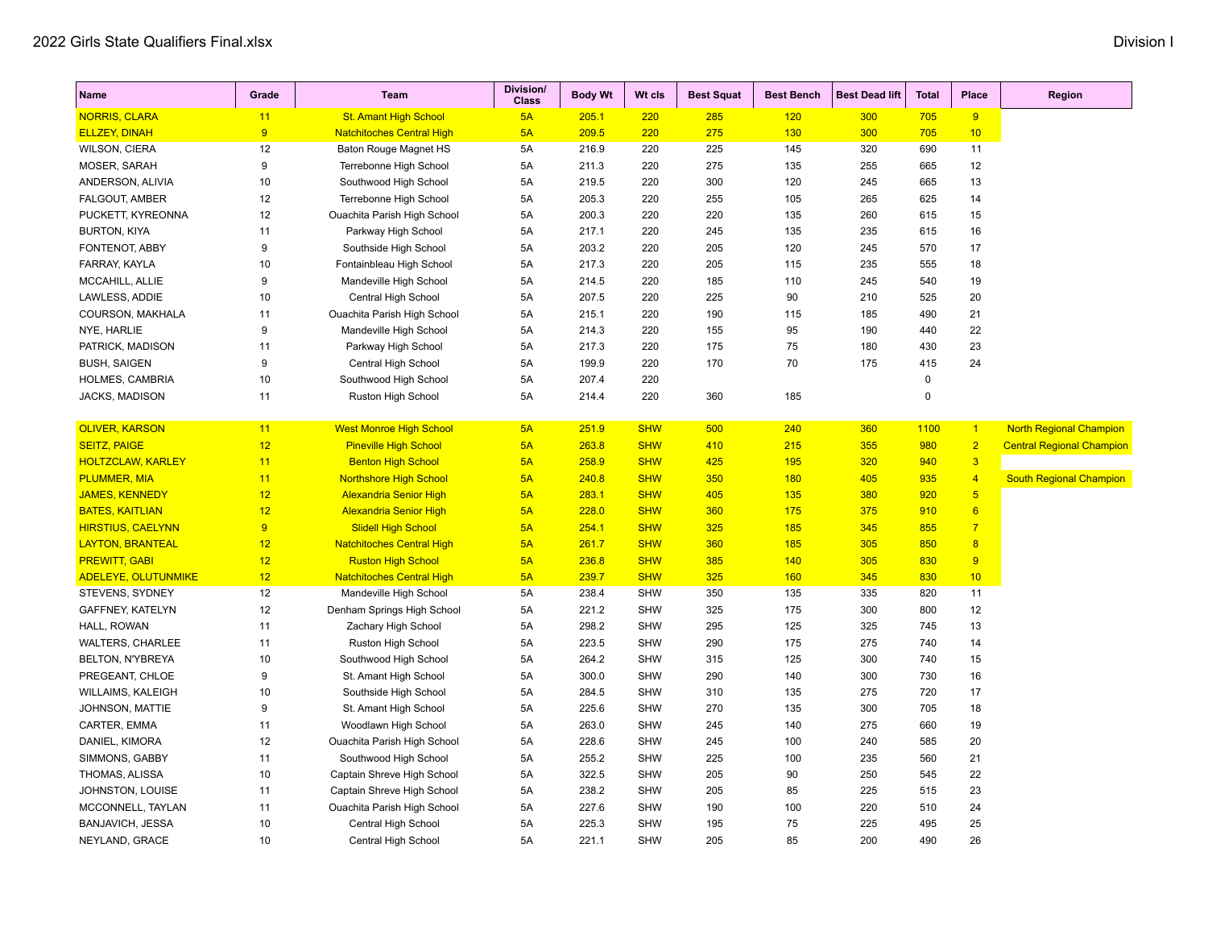| <b>Name</b>                | Grade | Team                             | <b>Division/</b><br><b>Class</b> | <b>Body Wt</b> | Wt cls     | <b>Best Squat</b> | <b>Best Bench</b> | <b>Best Dead lift</b> | <b>Total</b> | Place                   | <b>Region</b>                    |
|----------------------------|-------|----------------------------------|----------------------------------|----------------|------------|-------------------|-------------------|-----------------------|--------------|-------------------------|----------------------------------|
| <b>NORRIS, CLARA</b>       | 11    | <b>St. Amant High School</b>     | 5A                               | 205.1          | 220        | 285               | 120               | 300                   | 705          | 9                       |                                  |
| <b>ELLZEY, DINAH</b>       | 9     | <b>Natchitoches Central High</b> | 5A                               | 209.5          | 220        | 275               | 130               | 300                   | 705          | 10                      |                                  |
| WILSON, CIERA              | 12    | <b>Baton Rouge Magnet HS</b>     | 5A                               | 216.9          | 220        | 225               | 145               | 320                   | 690          | 11                      |                                  |
| MOSER, SARAH               | 9     | Terrebonne High School           | 5A                               | 211.3          | 220        | 275               | 135               | 255                   | 665          | 12                      |                                  |
| ANDERSON, ALIVIA           | 10    | Southwood High School            | 5A                               | 219.5          | 220        | 300               | 120               | 245                   | 665          | 13                      |                                  |
| <b>FALGOUT, AMBER</b>      | 12    | Terrebonne High School           | 5A                               | 205.3          | 220        | 255               | 105               | 265                   | 625          | 14                      |                                  |
| PUCKETT, KYREONNA          | 12    | Ouachita Parish High School      | 5A                               | 200.3          | 220        | 220               | 135               | 260                   | 615          | 15                      |                                  |
| <b>BURTON, KIYA</b>        | 11    | Parkway High School              | 5A                               | 217.1          | 220        | 245               | 135               | 235                   | 615          | 16                      |                                  |
| FONTENOT, ABBY             | 9     | Southside High School            | 5A                               | 203.2          | 220        | 205               | 120               | 245                   | 570          | 17                      |                                  |
| FARRAY, KAYLA              | 10    | Fontainbleau High School         | 5A                               | 217.3          | 220        | 205               | 115               | 235                   | 555          | 18                      |                                  |
| MCCAHILL, ALLIE            | 9     | Mandeville High School           | 5A                               | 214.5          | 220        | 185               | 110               | 245                   | 540          | 19                      |                                  |
| LAWLESS, ADDIE             | 10    | Central High School              | 5A                               | 207.5          | 220        | 225               | 90                | 210                   | 525          | 20                      |                                  |
| COURSON, MAKHALA           | 11    | Ouachita Parish High School      | 5A                               | 215.1          | 220        | 190               | 115               | 185                   | 490          | 21                      |                                  |
| NYE, HARLIE                | 9     | Mandeville High School           | 5A                               | 214.3          | 220        | 155               | 95                | 190                   | 440          | 22                      |                                  |
| PATRICK, MADISON           | 11    | Parkway High School              | 5A                               | 217.3          | 220        | 175               | 75                | 180                   | 430          | 23                      |                                  |
| <b>BUSH, SAIGEN</b>        | 9     | Central High School              | 5A                               | 199.9          | 220        | 170               | 70                | 175                   | 415          | 24                      |                                  |
| HOLMES, CAMBRIA            | 10    | Southwood High School            | 5A                               | 207.4          | 220        |                   |                   |                       | $\mathbf 0$  |                         |                                  |
| JACKS, MADISON             | 11    | Ruston High School               | 5A                               | 214.4          | 220        | 360               | 185               |                       | 0            |                         |                                  |
|                            |       |                                  |                                  |                |            |                   |                   |                       |              |                         |                                  |
| <b>OLIVER, KARSON</b>      | 11    | <b>West Monroe High School</b>   | 5A                               | 251.9          | <b>SHW</b> | 500               | 240               | 360                   | 1100         | $\vert$ 1               | <b>North Regional Champion</b>   |
| <b>SEITZ, PAIGE</b>        | 12    | <b>Pineville High School</b>     | 5A                               | 263.8          | <b>SHW</b> | 410               | 215               | 355                   | 980          | $\overline{2}$          | <b>Central Regional Champion</b> |
| <b>HOLTZCLAW, KARLEY</b>   | 11    | <b>Benton High School</b>        | 5A                               | 258.9          | <b>SHW</b> | 425               | <b>195</b>        | 320                   | 940          | $\overline{\mathbf{3}}$ |                                  |
| <b>PLUMMER, MIA</b>        | 11    | <b>Northshore High School</b>    | 5A                               | 240.8          | <b>SHW</b> | 350               | 180               | 405                   | 935          | $\overline{4}$          | <b>South Regional Champion</b>   |
| <b>JAMES, KENNEDY</b>      | 12    | <b>Alexandria Senior High</b>    | 5A                               | 283.1          | <b>SHW</b> | 405               | 135               | 380                   | 920          | $5\phantom{.0}$         |                                  |
| <b>BATES, KAITLIAN</b>     | 12    | <b>Alexandria Senior High</b>    | 5A                               | 228.0          | <b>SHW</b> | 360               | 175               | 375                   | 910          | 6                       |                                  |
| <b>HIRSTIUS, CAELYNN</b>   | 9     | <b>Slidell High School</b>       | 5A                               | 254.1          | <b>SHW</b> | 325               | 185               | 345                   | 855          | $\overline{7}$          |                                  |
| <b>LAYTON, BRANTEAL</b>    | 12    | <b>Natchitoches Central High</b> | 5A                               | 261.7          | <b>SHW</b> | 360               | 185               | 305                   | 850          | 8                       |                                  |
| <b>PREWITT, GABI</b>       | 12    | <b>Ruston High School</b>        | 5A                               | 236.8          | <b>SHW</b> | 385               | 140               | 305                   | 830          | 9                       |                                  |
| <b>ADELEYE, OLUTUNMIKE</b> | 12    | <b>Natchitoches Central High</b> | 5A                               | 239.7          | <b>SHW</b> | 325               | 160               | 345                   | 830          | 10 <sup>°</sup>         |                                  |
| STEVENS, SYDNEY            | 12    | Mandeville High School           | 5A                               | 238.4          | <b>SHW</b> | 350               | 135               | 335                   | 820          | 11                      |                                  |
| GAFFNEY, KATELYN           | 12    | Denham Springs High School       | 5A                               | 221.2          | <b>SHW</b> | 325               | 175               | 300                   | 800          | 12                      |                                  |
| HALL, ROWAN                | 11    | Zachary High School              | 5A                               | 298.2          | <b>SHW</b> | 295               | 125               | 325                   | 745          | 13                      |                                  |
| <b>WALTERS, CHARLEE</b>    | 11    | Ruston High School               | 5A                               | 223.5          | <b>SHW</b> | 290               | 175               | 275                   | 740          | 14                      |                                  |
| BELTON, N'YBREYA           | 10    | Southwood High School            | 5A                               | 264.2          | <b>SHW</b> | 315               | 125               | 300                   | 740          | 15                      |                                  |
| PREGEANT, CHLOE            | 9     | St. Amant High School            | 5A                               | 300.0          | <b>SHW</b> | 290               | 140               | 300                   | 730          | 16                      |                                  |
| WILLAIMS, KALEIGH          | 10    | Southside High School            | 5A                               | 284.5          | <b>SHW</b> | 310               | 135               | 275                   | 720          | 17                      |                                  |
| JOHNSON, MATTIE            | 9     | St. Amant High School            | 5A                               | 225.6          | <b>SHW</b> | 270               | 135               | 300                   | 705          | 18                      |                                  |
| CARTER, EMMA               | 11    | Woodlawn High School             | 5A                               | 263.0          | <b>SHW</b> | 245               | 140               | 275                   | 660          | 19                      |                                  |
| DANIEL, KIMORA             | 12    | Ouachita Parish High School      | 5A                               | 228.6          | <b>SHW</b> | 245               | 100               | 240                   | 585          | 20                      |                                  |
| SIMMONS, GABBY             | 11    | Southwood High School            | 5A                               | 255.2          | <b>SHW</b> | 225               | 100               | 235                   | 560          | 21                      |                                  |
| THOMAS, ALISSA             | 10    | Captain Shreve High School       | 5A                               | 322.5          | <b>SHW</b> | 205               | 90                | 250                   | 545          | 22                      |                                  |
| <b>JOHNSTON, LOUISE</b>    | 11    | Captain Shreve High School       | 5A                               | 238.2          | <b>SHW</b> | 205               | 85                | 225                   | 515          | 23                      |                                  |
| MCCONNELL, TAYLAN          | 11    | Ouachita Parish High School      | 5A                               | 227.6          | <b>SHW</b> | 190               | 100               | 220                   | 510          | 24                      |                                  |
| BANJAVICH, JESSA           | 10    | Central High School              | 5A                               | 225.3          | <b>SHW</b> | 195               | 75                | 225                   | 495          | 25                      |                                  |

NEYLAND, GRACE 10 Central High School 5A 221.1 SHW 205 85 200 490 26